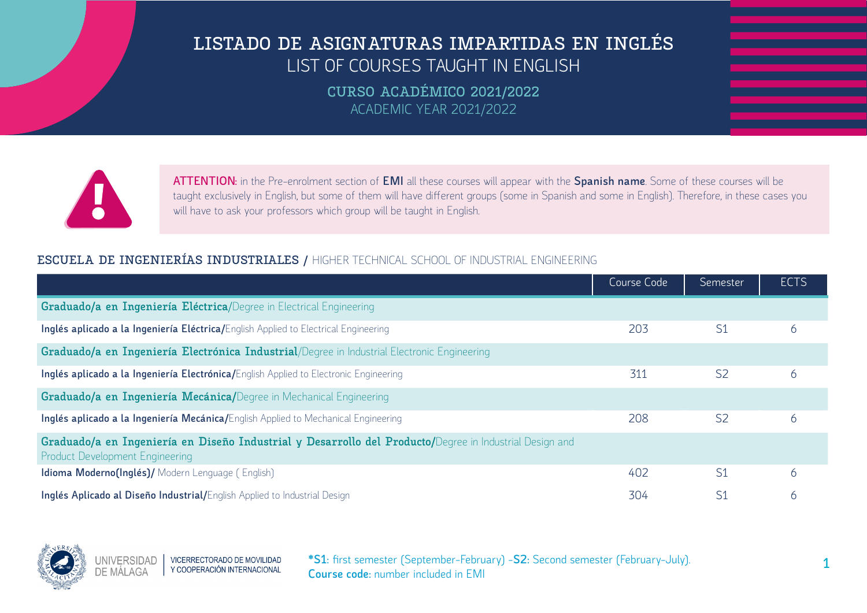**CURSO ACADÉMICO 2021/2022** ACADEMIC YEAR 2021/2022



**ATTENTION:** in the Pre-enrolment section of **EMI** all these courses will appear with the **Spanish name**. Some of these courses will be taught exclusively in English, but some of them will have different groups (some in Spanish and some in English). Therefore, in these cases you will have to ask your professors which group will be taught in English.

### **ESCUELA DE INGENIERÍAS INDUSTRIALES /** HIGHER TECHNICAL SCHOOL OF INDUSTRIAL ENGINEERING

|                                                                                                                                                   | Course Code | Semester       | <b>ECTS</b> |
|---------------------------------------------------------------------------------------------------------------------------------------------------|-------------|----------------|-------------|
| Graduado/a en Ingeniería Eléctrica/Degree in Electrical Engineering                                                                               |             |                |             |
| Inglés aplicado a la Ingeniería Eléctrica/English Applied to Electrical Engineering                                                               | 203         | S <sub>1</sub> | 6           |
| Graduado/a en Ingeniería Electrónica Industrial/Degree in Industrial Electronic Engineering                                                       |             |                |             |
| Inglés aplicado a la Ingeniería Electrónica/English Applied to Electronic Engineering                                                             | 311         | S <sub>2</sub> | 6           |
| Graduado/a en Ingeniería Mecánica/Degree in Mechanical Engineering                                                                                |             |                |             |
| Inglés aplicado a la Ingeniería Mecánica/English Applied to Mechanical Engineering                                                                | 208         | S <sub>2</sub> | 6           |
| Graduado/a en Ingeniería en Diseño Industrial y Desarrollo del Producto/Degree in Industrial Design and<br><b>Product Development Engineering</b> |             |                |             |
| Idioma Moderno(Inglés)/ Modern Lenguage (English)                                                                                                 | 402         | S <sub>1</sub> | 6           |
| Inglés Aplicado al Diseño Industrial/English Applied to Industrial Design                                                                         | 304         | S <sub>1</sub> | 6           |

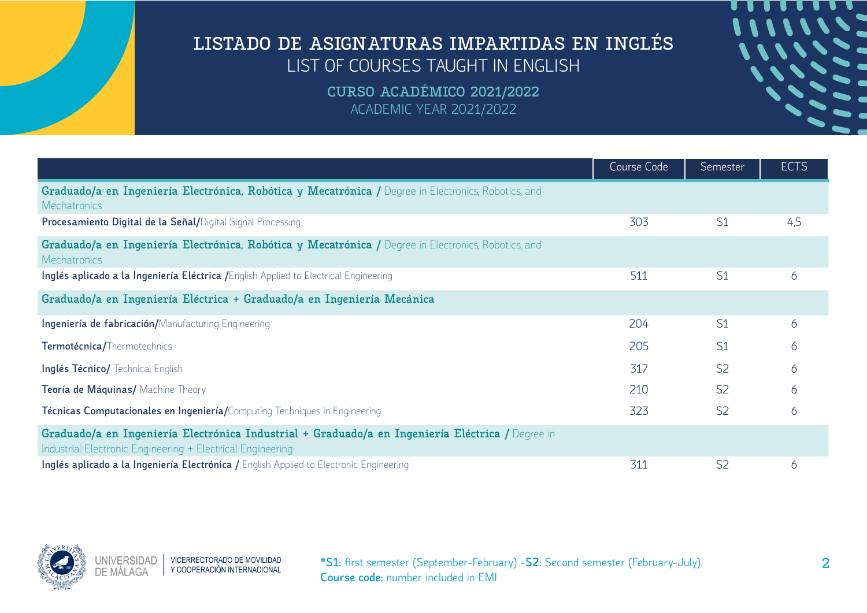| <b>.</b>        |  |
|-----------------|--|
| <b>11111152</b> |  |
|                 |  |
| 111112-         |  |
|                 |  |
|                 |  |
|                 |  |
|                 |  |
| <b>Second</b>   |  |
|                 |  |

|                                                                                                                                                                | Course Code | Semester       | <b>ECTS</b> |
|----------------------------------------------------------------------------------------------------------------------------------------------------------------|-------------|----------------|-------------|
| Graduado/a en Ingeniería Electrónica, Robótica y Mecatrónica / Degree in Electronics, Robotics, and<br><b>Mechatronics</b>                                     |             |                |             |
| Procesamiento Digital de la Señal/Digital Signal Processing                                                                                                    | 303         | S <sub>1</sub> | 4,5         |
| Graduado/a en Ingeniería Electrónica, Robótica y Mecatrónica / Degree in Electronics, Robotics, and<br><b>Mechatronics</b>                                     |             |                |             |
| Inglés aplicado a la Ingeniería Eléctrica / English Applied to Electrical Engineering                                                                          | 511         | S <sub>1</sub> | 6           |
| Graduado/a en Ingeniería Eléctrica + Graduado/a en Ingeniería Mecánica                                                                                         |             |                |             |
| Ingeniería de fabricación/Manufacturing Engineering                                                                                                            | 204         | S <sub>1</sub> | 6           |
| Termotécnica/Thermotechnics                                                                                                                                    | 205         | S <sub>1</sub> | 6           |
| Inglés Técnico/ Technical English                                                                                                                              | 317         | S <sub>2</sub> | 6           |
| Teoría de Máquinas/ Machine Theory                                                                                                                             | 210         | S <sub>2</sub> | 6           |
| Técnicas Computacionales en Ingeniería/Computing Techniques in Engineering                                                                                     | 323         | S <sub>2</sub> | 6           |
| Graduado/a en Ingeniería Electrónica Industrial + Graduado/a en Ingeniería Eléctrica / Degree in<br>Industrial Electronic Engineering + Electrical Engineering |             |                |             |
| Inglés aplicado a la Ingeniería Electrónica / English Applied to Electronic Engineering                                                                        | 311         | S <sub>2</sub> | 6           |

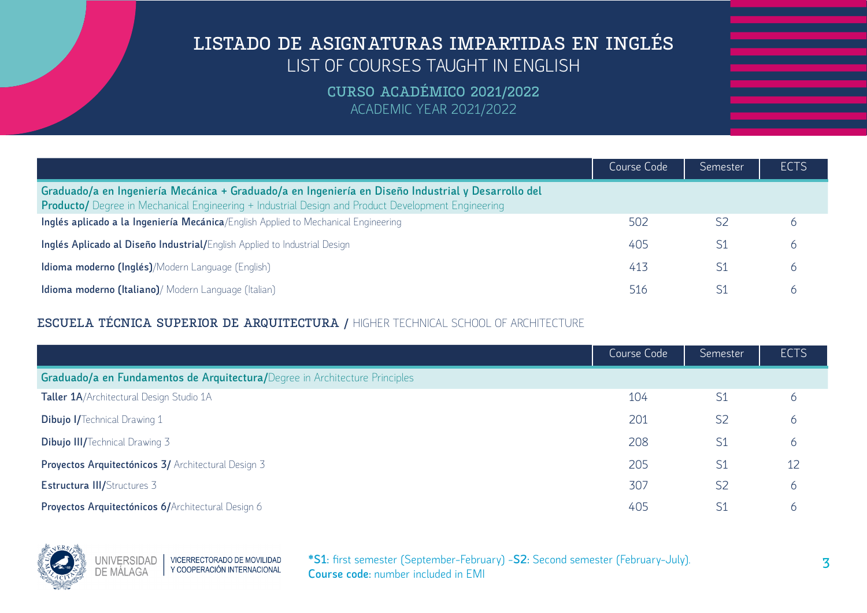**CURSO ACADÉMICO 2021/2022** ACADEMIC YEAR 2021/2022

|                                                                                                                                                                                                                 | Course Code | Semester | <b>ECTS</b> |
|-----------------------------------------------------------------------------------------------------------------------------------------------------------------------------------------------------------------|-------------|----------|-------------|
| Graduado/a en Ingeniería Mecánica + Graduado/a en Ingeniería en Diseño Industrial y Desarrollo del<br><b>Producto/</b> Degree in Mechanical Engineering + Industrial Design and Product Development Engineering |             |          |             |
| Inglés aplicado a la Ingeniería Mecánica/English Applied to Mechanical Engineering                                                                                                                              | 502         |          |             |
| Inglés Aplicado al Diseño Industrial/English Applied to Industrial Design                                                                                                                                       | 405         |          |             |
| Idioma moderno (Inglés)/Modern Language (English)                                                                                                                                                               | 413         |          | h           |
| Idioma moderno (Italiano)/ Modern Language (Italian)                                                                                                                                                            | 516         |          |             |

### **ESCUELA TÉCNICA SUPERIOR DE ARQUITECTURA /** HIGHER TECHNICAL SCHOOL OF ARCHITECTURE

|                                                                             | Course Code | Semester       | <b>ECTS</b> |
|-----------------------------------------------------------------------------|-------------|----------------|-------------|
| Graduado/a en Fundamentos de Arquitectura/Degree in Architecture Principles |             |                |             |
| Taller 1A/Architectural Design Studio 1A                                    | 104         | S <sub>1</sub> | 6           |
| <b>Dibujo I/Technical Drawing 1</b>                                         | 201         | S <sub>2</sub> | 6           |
| <b>Dibujo III/Technical Drawing 3</b>                                       | 208         | S <sub>1</sub> | 6           |
| Proyectos Arquitectónicos 3/ Architectural Design 3                         | 205         | S <sub>1</sub> | 12          |
| <b>Estructura III/Structures 3</b>                                          | 307         | S <sub>2</sub> | 6           |
| Proyectos Arquitectónicos 6/Architectural Design 6                          | 405         | S1             | 6           |

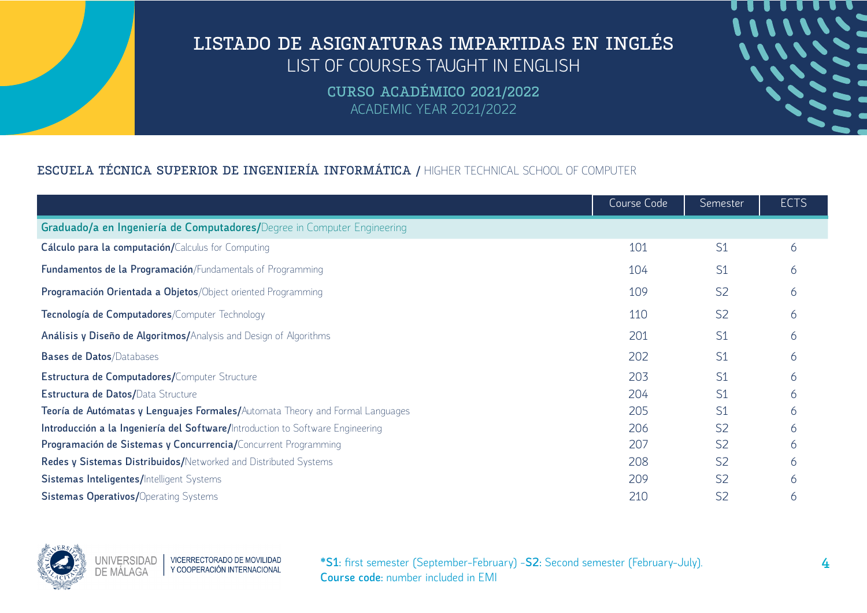> **CURSO ACADÉMICO 2021/2022** ACADEMIC YEAR 2021/2022

### **ESCUELA TÉCNICA SUPERIOR DE INGENIERÍA INFORMÁTICA /** HIGHER TECHNICAL SCHOOL OF COMPUTER

|                                                                                | Course Code | Semester       | <b>ECTS</b>  |
|--------------------------------------------------------------------------------|-------------|----------------|--------------|
| Graduado/a en Ingeniería de Computadores/Degree in Computer Engineering        |             |                |              |
| Cálculo para la computación/Calculus for Computing                             | 101         | S <sub>1</sub> | 6            |
| Fundamentos de la Programación/Fundamentals of Programming                     | 104         | S <sub>1</sub> | <sub>6</sub> |
| Programación Orientada a Objetos/Object oriented Programming                   | 109         | S <sub>2</sub> |              |
| Tecnología de Computadores/Computer Technology                                 | 110         | S <sub>2</sub> |              |
| Análisis y Diseño de Algoritmos/Analysis and Design of Algorithms              | 201         | S <sub>1</sub> | h.           |
| <b>Bases de Datos/Databases</b>                                                | 202         | S <sub>1</sub> | h.           |
| Estructura de Computadores/Computer Structure                                  | 203         | S <sub>1</sub> |              |
| Estructura de Datos/Data Structure                                             | 204         | S <sub>1</sub> |              |
| Teoría de Autómatas y Lenguajes Formales/Automata Theory and Formal Languages  | 205         | S <sub>1</sub> | n.           |
| Introducción a la Ingeniería del Software/Introduction to Software Engineering | 206         | S <sub>2</sub> |              |
| Programación de Sistemas y Concurrencia/Concurrent Programming                 | 207         | S <sub>2</sub> | h            |
| Redes y Sistemas Distribuidos/Networked and Distributed Systems                | 208         | S <sub>2</sub> |              |
| <b>Sistemas Inteligentes/Intelligent Systems</b>                               | 209         | S <sub>2</sub> |              |
| <b>Sistemas Operativos/Operating Systems</b>                                   | 210         | S <sub>2</sub> |              |

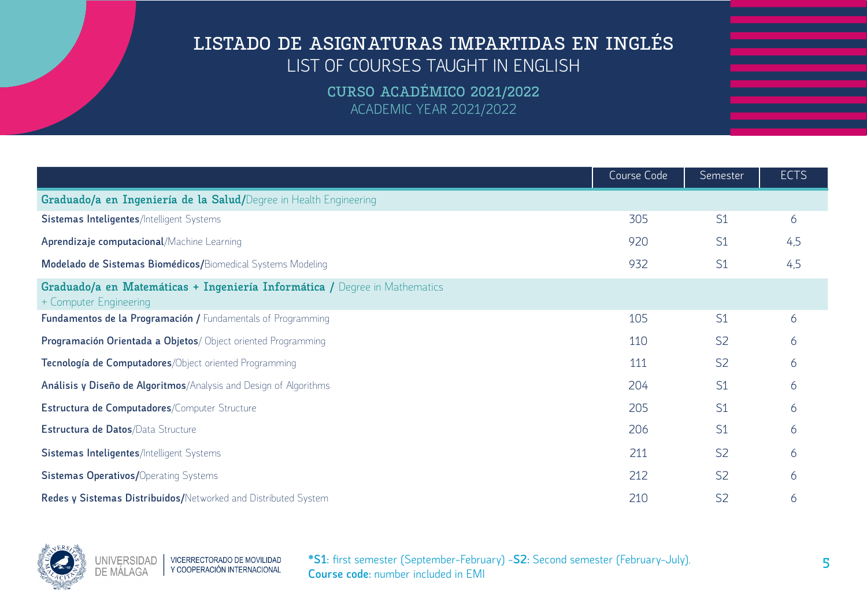|                                                                                                      | Course Code | Semester       | <b>ECTS</b> |
|------------------------------------------------------------------------------------------------------|-------------|----------------|-------------|
| Graduado/a en Ingeniería de la Salud/Degree in Health Engineering                                    |             |                |             |
| Sistemas Inteligentes/Intelligent Systems                                                            | 305         | S <sub>1</sub> | 6           |
| Aprendizaje computacional/Machine Learning                                                           | 920         | S <sub>1</sub> | 4,5         |
| Modelado de Sistemas Biomédicos/Biomedical Systems Modeling                                          | 932         | S <sub>1</sub> | 4,5         |
| Graduado/a en Matemáticas + Ingeniería Informática / Degree in Mathematics<br>+ Computer Engineering |             |                |             |
| Fundamentos de la Programación / Fundamentals of Programming                                         | 105         | S <sub>1</sub> | 6           |
| Programación Orientada a Objetos/ Object oriented Programming                                        | 110         | S <sub>2</sub> | 6           |
| Tecnología de Computadores/Object oriented Programming                                               | 111         | S <sub>2</sub> | 6           |
| Análisis y Diseño de Algoritmos/Analysis and Design of Algorithms                                    | 204         | S <sub>1</sub> | 6           |
| Estructura de Computadores/Computer Structure                                                        | 205         | S <sub>1</sub> | 6           |
| Estructura de Datos/Data Structure                                                                   | 206         | S <sub>1</sub> | 6           |
| <b>Sistemas Inteligentes/Intelligent Systems</b>                                                     | 211         | S <sub>2</sub> | 6           |
| <b>Sistemas Operativos/Operating Systems</b>                                                         | 212         | S <sub>2</sub> | 6           |
| Redes y Sistemas Distribuidos/Networked and Distributed System                                       | 210         | S <sub>2</sub> | 6           |

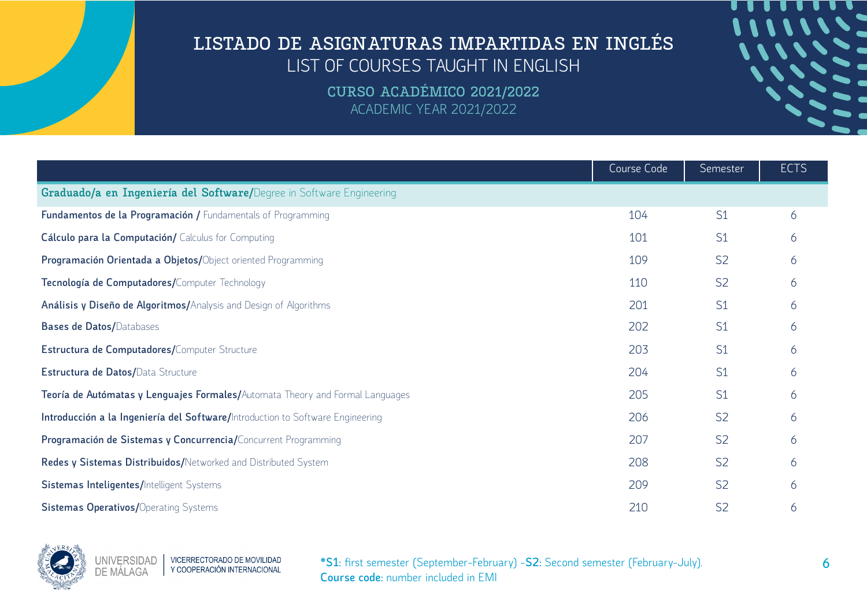**CURSO ACADÉMICO 2021/2022** ACADEMIC YEAR 2021/2022

|                                                                                | Course Code | Semester       | <b>ECTS</b> |
|--------------------------------------------------------------------------------|-------------|----------------|-------------|
| Graduado/a en Ingeniería del Software/Degree in Software Engineering           |             |                |             |
| Fundamentos de la Programación / Fundamentals of Programming                   | 104         | S <sub>1</sub> | 6           |
| Cálculo para la Computación/ Calculus for Computing                            | 101         | S <sub>1</sub> | 6           |
| Programación Orientada a Objetos/Object oriented Programming                   | 109         | S <sub>2</sub> | 6           |
| Tecnología de Computadores/Computer Technology                                 | 110         | S <sub>2</sub> | 6           |
| Análisis y Diseño de Algoritmos/Analysis and Design of Algorithms              | 201         | S <sub>1</sub> | 6           |
| <b>Bases de Datos/Databases</b>                                                | 202         | S <sub>1</sub> | 6           |
| Estructura de Computadores/Computer Structure                                  | 203         | S <sub>1</sub> | 6           |
| Estructura de Datos/Data Structure                                             | 204         | S <sub>1</sub> | 6           |
| Teoría de Autómatas y Lenguajes Formales/Automata Theory and Formal Languages  | 205         | S <sub>1</sub> | 6           |
| Introducción a la Ingeniería del Software/Introduction to Software Engineering | 206         | S <sub>2</sub> | 6           |
| Programación de Sistemas y Concurrencia/Concurrent Programming                 | 207         | S <sub>2</sub> | 6           |
| Redes y Sistemas Distribuidos/Networked and Distributed System                 | 208         | S <sub>2</sub> | 6           |
| Sistemas Inteligentes/Intelligent Systems                                      | 209         | S <sub>2</sub> | 6           |
| <b>Sistemas Operativos/Operating Systems</b>                                   | 210         | S <sub>2</sub> | 6           |

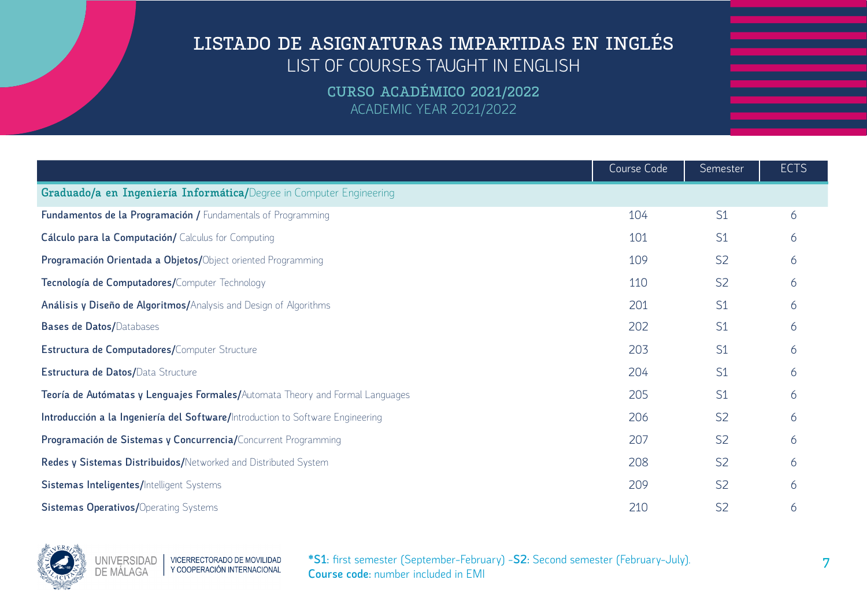**CURSO ACADÉMICO 2021/2022** ACADEMIC YEAR 2021/2022

|                                                                                | Course Code | Semester       | <b>ECTS</b> |
|--------------------------------------------------------------------------------|-------------|----------------|-------------|
| Graduado/a en Ingeniería Informática/Degree in Computer Engineering            |             |                |             |
| Fundamentos de la Programación / Fundamentals of Programming                   | 104         | S <sub>1</sub> | 6           |
| Cálculo para la Computación/ Calculus for Computing                            | 101         | S <sub>1</sub> | 6           |
| Programación Orientada a Objetos/Object oriented Programming                   | 109         | S <sub>2</sub> | 6           |
| Tecnología de Computadores/Computer Technology                                 | 110         | S <sub>2</sub> | 6           |
| Análisis y Diseño de Algoritmos/Analysis and Design of Algorithms              | 201         | S1             | 6           |
| <b>Bases de Datos/Databases</b>                                                | 202         | S <sub>1</sub> | 6           |
| Estructura de Computadores/Computer Structure                                  | 203         | S <sub>1</sub> | 6           |
| Estructura de Datos/Data Structure                                             | 204         | S1             | 6           |
| Teoría de Autómatas y Lenguajes Formales/Automata Theory and Formal Languages  | 205         | S <sub>1</sub> | 6           |
| Introducción a la Ingeniería del Software/Introduction to Software Engineering | 206         | S <sub>2</sub> | 6           |
| Programación de Sistemas y Concurrencia/Concurrent Programming                 | 207         | S <sub>2</sub> | 6           |
| Redes y Sistemas Distribuidos/Networked and Distributed System                 | 208         | S <sub>2</sub> | 6           |
| Sistemas Inteligentes/Intelligent Systems                                      | 209         | S <sub>2</sub> | 6           |
| <b>Sistemas Operativos/Operating Systems</b>                                   | 210         | S <sub>2</sub> | 6           |

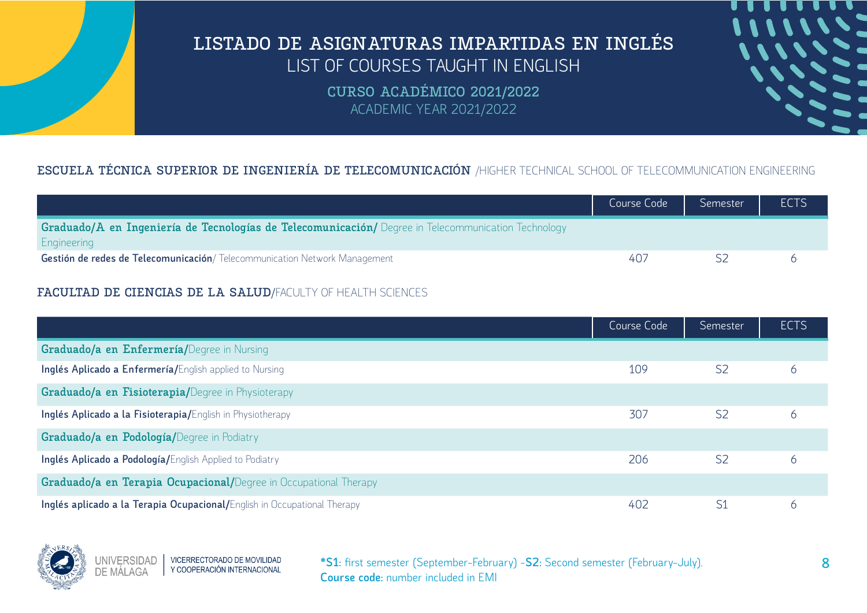> **CURSO ACADÉMICO 2021/2022** ACADEMIC YEAR 2021/2022

### **ESCUELA TÉCNICA SUPERIOR DE INGENIERÍA DE TELECOMUNICACIÓN** /HIGHER TECHNICAL SCHOOL OF TELECOMMUNICATION ENGINEERING

|                                                                                                                    | Course Code | Semester | <b>ECTS</b> |
|--------------------------------------------------------------------------------------------------------------------|-------------|----------|-------------|
| Graduado/A en Ingeniería de Tecnologías de Telecomunicación/ Degree in Telecommunication Technology<br>Engineering |             |          |             |
| Gestión de redes de Telecomunicación/ Telecommunication Network Management                                         | 40.         |          |             |

#### **FACULTAD DE CIENCIAS DE LA SALUD**/FACULTY OF HEALTH SCIENCES

|                                                                          | Course Code | Semester       | <b>ECTS</b> |
|--------------------------------------------------------------------------|-------------|----------------|-------------|
| Graduado/a en Enfermería/Degree in Nursing                               |             |                |             |
| Inglés Aplicado a Enfermería/English applied to Nursing                  | 109         | S <sub>2</sub> | 6           |
| <b>Graduado/a en Fisioterapia/Degree in Physioterapy</b>                 |             |                |             |
| Inglés Aplicado a la Fisioterapia/English in Physiotherapy               | 307         | S <sub>2</sub> | 6           |
| Graduado/a en Podología/Degree in Podiatry                               |             |                |             |
| Inglés Aplicado a Podología/English Applied to Podiatry                  | 206         | S <sub>2</sub> | 6           |
| Graduado/a en Terapia Ocupacional/Degree in Occupational Therapy         |             |                |             |
| Inglés aplicado a la Terapia Ocupacional/English in Occupational Therapy | 402         | S <sub>1</sub> | 6           |

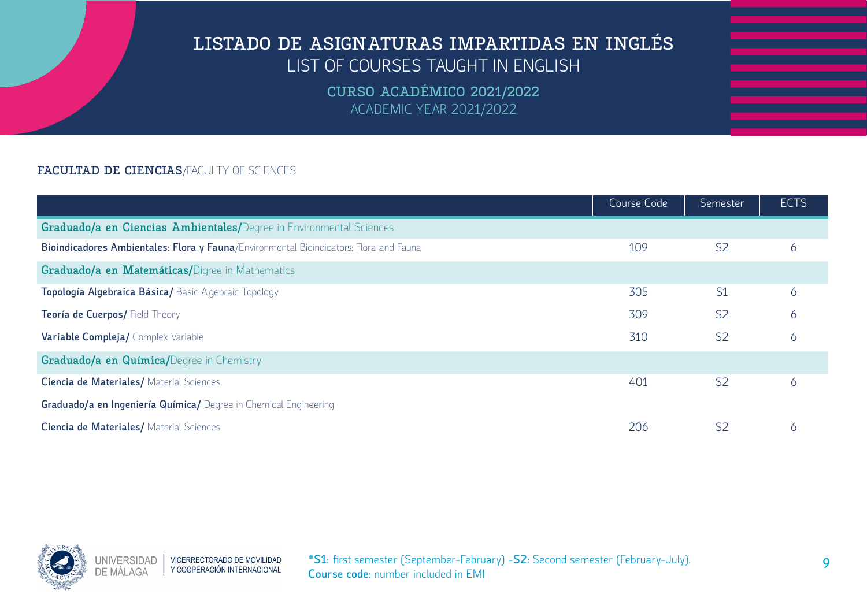**CURSO ACADÉMICO 2021/2022** ACADEMIC YEAR 2021/2022

#### **FACULTAD DE CIENCIAS**/FACULTY OF SCIENCES

|                                                                                        | Course Code | Semester       | <b>ECTS</b> |
|----------------------------------------------------------------------------------------|-------------|----------------|-------------|
| Graduado/a en Ciencias Ambientales/Degree in Environmental Sciences                    |             |                |             |
| Bioindicadores Ambientales: Flora y Fauna/Environmental Bioindicators: Flora and Fauna | 109         | S <sub>2</sub> | 6           |
| Graduado/a en Matemáticas/Digree in Mathematics                                        |             |                |             |
| Topología Algebraica Básica/Basic Algebraic Topology                                   | 305         | S1             | 6           |
| Teoría de Cuerpos/ Field Theory                                                        | 309         | S <sub>2</sub> | 6           |
| Variable Compleja/ Complex Variable                                                    | 310         | S <sub>2</sub> | 6           |
| Graduado/a en Química/Degree in Chemistry                                              |             |                |             |
| Ciencia de Materiales/ Material Sciences                                               | 401         | S <sub>2</sub> | 6           |
| Graduado/a en Ingeniería Química/ Degree in Chemical Engineering                       |             |                |             |
| Ciencia de Materiales/ Material Sciences                                               | 206         | S <sub>2</sub> | 6           |

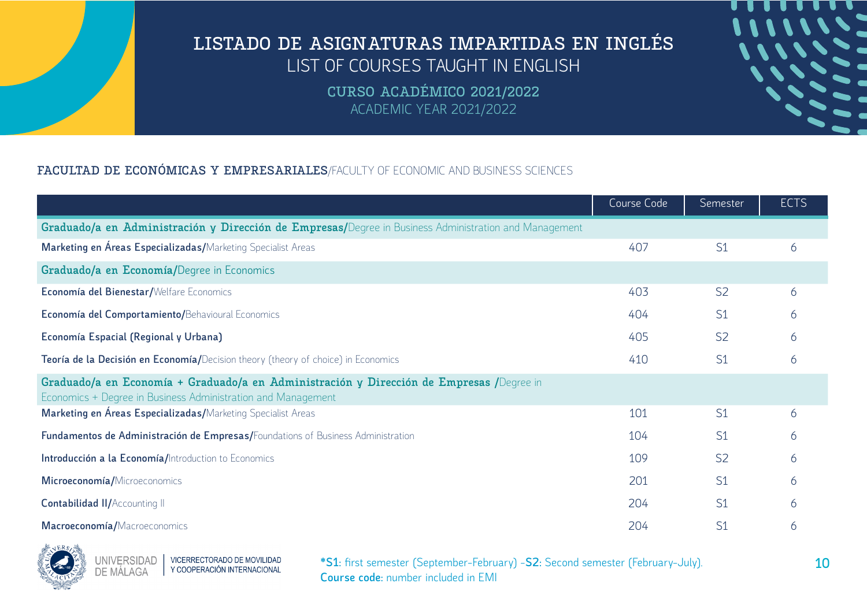**CURSO ACADÉMICO 2021/2022** ACADEMIC YEAR 2021/2022

### **FACULTAD DE ECONÓMICAS Y EMPRESARIALES**/FACULTY OF ECONOMIC AND BUSINESS SCIENCES

|                                                                                                                                                          | Course Code | Semester       | <b>ECTS</b> |
|----------------------------------------------------------------------------------------------------------------------------------------------------------|-------------|----------------|-------------|
| Graduado/a en Administración y Dirección de Empresas/Degree in Business Administration and Management                                                    |             |                |             |
| Marketing en Áreas Especializadas/Marketing Specialist Areas                                                                                             | 407         | S <sub>1</sub> | 6           |
| Graduado/a en Economía/Degree in Economics                                                                                                               |             |                |             |
| Economía del Bienestar/Welfare Economics                                                                                                                 | 403         | S <sub>2</sub> | 6           |
| Economía del Comportamiento/Behavioural Economics                                                                                                        | 404         | S <sub>1</sub> | 6           |
| Economía Espacial (Regional y Urbana)                                                                                                                    | 405         | S <sub>2</sub> | 6           |
| Teoría de la Decisión en Economía/Decision theory (theory of choice) in Economics                                                                        | 410         | S <sub>1</sub> | 6           |
| Graduado/a en Economía + Graduado/a en Administración y Dirección de Empresas /Degree in<br>Economics + Degree in Business Administration and Management |             |                |             |
| Marketing en Áreas Especializadas/Marketing Specialist Areas                                                                                             | 101         | S <sub>1</sub> | 6           |
| Fundamentos de Administración de Empresas/Foundations of Business Administration                                                                         | 104         | S <sub>1</sub> | 6           |
| Introducción a la Economía/Introduction to Economics                                                                                                     | 109         | S <sub>2</sub> | 6           |
| Microeconomía/Microeconomics                                                                                                                             | 201         | S <sub>1</sub> | 6           |
| Contabilidad II/Accounting II                                                                                                                            | 204         | S <sub>1</sub> | 6           |
| Macroeconomía/Macroeconomics                                                                                                                             | 204         | S <sub>1</sub> | 6           |

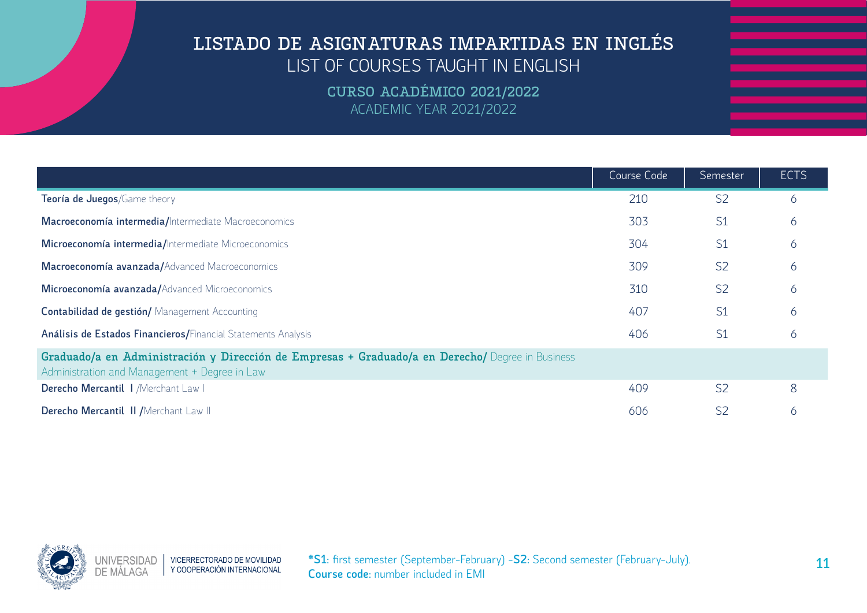|                                                                                                                                                   | Course Code | Semester       | <b>ECTS</b> |
|---------------------------------------------------------------------------------------------------------------------------------------------------|-------------|----------------|-------------|
| Teoría de Juegos/Game theory                                                                                                                      | 210         | S <sub>2</sub> | 6           |
| Macroeconomía intermedia/Intermediate Macroeconomics                                                                                              | 303         | S1             | 6           |
| Microeconomía intermedia/Intermediate Microeconomics                                                                                              | 304         | S <sub>1</sub> | 6           |
| Macroeconomía avanzada/Advanced Macroeconomics                                                                                                    | 309         | S <sub>2</sub> | 6           |
| Microeconomía avanzada/Advanced Microeconomics                                                                                                    | 310         | S <sub>2</sub> | 6           |
| Contabilidad de gestión/ Management Accounting                                                                                                    | 407         | S <sub>1</sub> | 6           |
| Análisis de Estados Financieros/Financial Statements Analysis                                                                                     | 406         | S1             | 6           |
| Graduado/a en Administración y Dirección de Empresas + Graduado/a en Derecho/ Degree in Business<br>Administration and Management + Degree in Law |             |                |             |
| Derecho Mercantil   /Merchant Law                                                                                                                 | 409         | S <sub>2</sub> | 8           |
| Derecho Mercantil II / Merchant Law II                                                                                                            | 606         | S <sub>2</sub> | 6           |

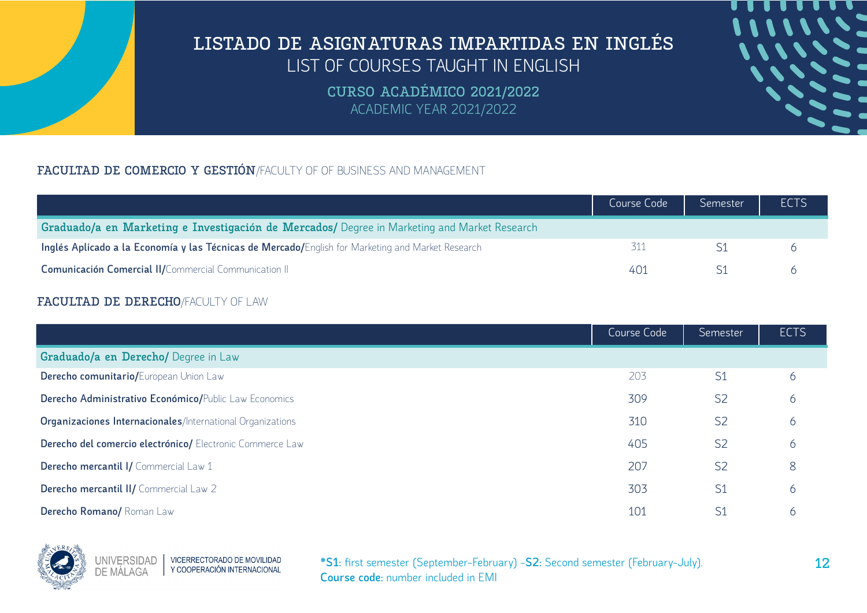**CURSO ACADÉMICO 2021/2022** ACADEMIC YEAR 2021/2022

### **FACULTAD DE COMERCIO Y GESTIÓN**/FACULTY OF OF BUSINESS AND MANAGEMENT

|                                                                                                   | Course Code | Semester | <b>ECTS</b> |
|---------------------------------------------------------------------------------------------------|-------------|----------|-------------|
| Graduado/a en Marketing e Investigación de Mercados/ Degree in Marketing and Market Research      |             |          |             |
| Inglés Aplicado a la Economía y las Técnicas de Mercado/English for Marketing and Market Research |             |          |             |
| Comunicación Comercial II/Commercial Communication II                                             | 401         |          |             |

#### **FACULTAD DE DERECHO**/FACULTY OF LAW

|                                                            | Course Code | Semester       | <b>ECTS</b> |
|------------------------------------------------------------|-------------|----------------|-------------|
| Graduado/a en Derecho/ Degree in Law                       |             |                |             |
| Derecho comunitario/European Union Law                     | 203         | S <sub>1</sub> | 6           |
| Derecho Administrativo Económico/Public Law Economics      | 309         | S <sub>2</sub> | 6           |
| Organizaciones Internacionales/International Organizations | 310         | S <sub>2</sub> | 6           |
| Derecho del comercio electrónico/ Electronic Commerce Law  | 405         | S <sub>2</sub> | 6           |
| Derecho mercantil I/ Commercial Law 1                      | 207         | S <sub>2</sub> | 8           |
| Derecho mercantil II/ Commercial Law 2                     | 303         | S <sub>1</sub> | 6           |
| Derecho Romano/ Roman Law                                  | 101         | S <sub>1</sub> | 6           |

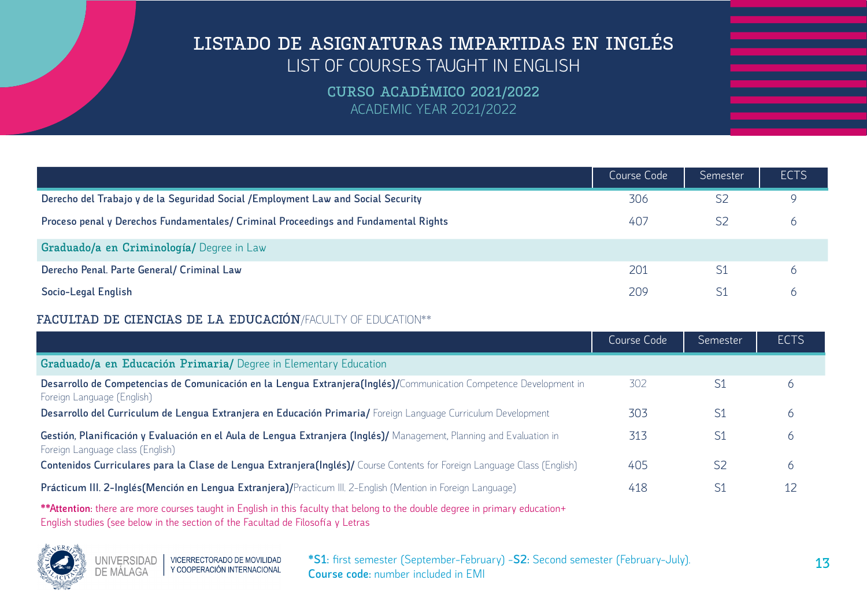**CURSO ACADÉMICO 2021/2022** ACADEMIC YEAR 2021/2022

|                                                                                     | Course Code | Semester       | <b>ECTS</b> |
|-------------------------------------------------------------------------------------|-------------|----------------|-------------|
| Derecho del Trabajo y de la Seguridad Social / Employment Law and Social Security   | 306         | S <sub>2</sub> |             |
| Proceso penal y Derechos Fundamentales/ Criminal Proceedings and Fundamental Rights | 407         | S <sub>2</sub> | $\circ$     |
| Graduado/a en Criminología/ Degree in Law                                           |             |                |             |
| Derecho Penal. Parte General/ Criminal Law                                          | 201         | S <sub>1</sub> |             |
| Socio-Legal English                                                                 | 209         | S1             |             |

#### **FACULTAD DE CIENCIAS DE LA EDUCACIÓN**/FACULTY OF EDUCATION\*\*

|                                                                                                                                                          | Course Code | Semester       | <b>ECTS</b> |
|----------------------------------------------------------------------------------------------------------------------------------------------------------|-------------|----------------|-------------|
| Graduado/a en Educación Primaria/ Degree in Elementary Education                                                                                         |             |                |             |
| Desarrollo de Competencias de Comunicación en la Lengua Extranjera(Inglés)/Communication Competence Development in<br>Foreign Language (English)         | 302         | S <sub>1</sub> |             |
| Desarrollo del Curriculum de Lengua Extranjera en Educación Primaria/Foreign Language Curriculum Development                                             | 303         | S1             | O           |
| Gestión, Planificación y Evaluación en el Aula de Lengua Extranjera (Inglés)/ Management, Planning and Evaluation in<br>Foreign Language class (English) | 313         | S1             | O           |
| Contenidos Curriculares para la Clase de Lengua Extranjera(Inglés)/ Course Contents for Foreign Language Class (English)                                 | 405         | S2             | O           |
| Prácticum III. 2-Inglés (Mención en Lengua Extranjera) / Practicum III. 2-English (Mention in Foreign Language)                                          | 418         | S1             | 12          |
| - Mende Article (1999) - Service Contract (1999) - Service Contract (1999) - Service Contract (1999)                                                     |             |                |             |

**\*\*Attention:** there are more courses taught in English in this faculty that belong to the double degree in primary education+ English studies (see below in the section of the Facultad de Filosofía y Letras

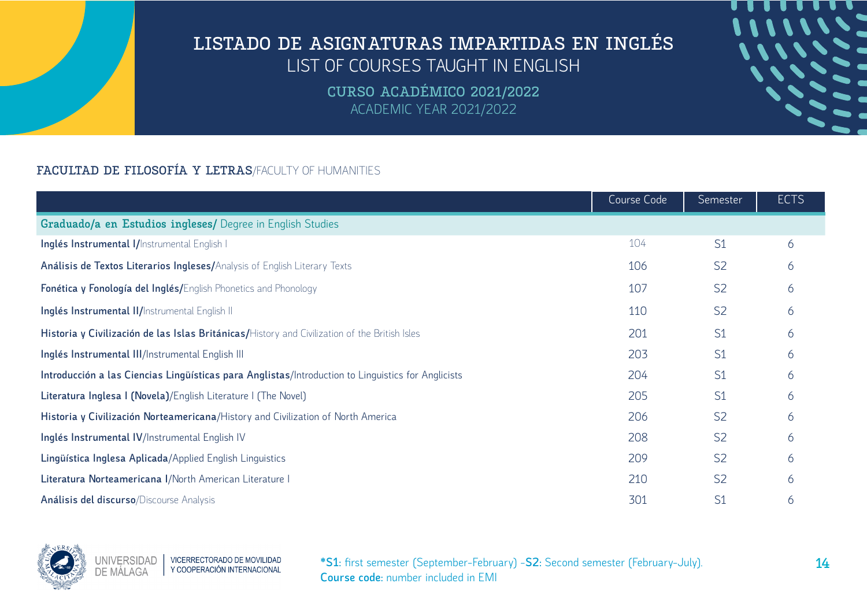**CURSO ACADÉMICO 2021/2022** ACADEMIC YEAR 2021/2022

### **FACULTAD DE FILOSOFÍA Y LETRAS**/FACULTY OF HUMANITIES

|                                                                                                    | Course Code | Semester       | <b>ECTS</b> |
|----------------------------------------------------------------------------------------------------|-------------|----------------|-------------|
| Graduado/a en Estudios ingleses/ Degree in English Studies                                         |             |                |             |
| Inglés Instrumental I/Instrumental English I                                                       | 104         | S <sub>1</sub> | 6           |
| Análisis de Textos Literarios Ingleses/Analysis of English Literary Texts                          | 106         | S <sub>2</sub> | 6           |
| Fonética y Fonología del Inglés/English Phonetics and Phonology                                    | 107         | S <sub>2</sub> | 6           |
| Inglés Instrumental II/Instrumental English II                                                     | 110         | S <sub>2</sub> | 6           |
| Historia y Civilización de las Islas Británicas/History and Civilization of the British Isles      | 201         | S <sub>1</sub> | 6           |
| Inglés Instrumental III/Instrumental English III                                                   | 203         | S <sub>1</sub> | 6           |
| Introducción a las Ciencias Lingüísticas para Anglistas/Introduction to Linguistics for Anglicists | 204         | S <sub>1</sub> | 6           |
| Literatura Inglesa I (Novela)/English Literature I (The Novel)                                     | 205         | S <sub>1</sub> | 6           |
| Historia y Civilización Norteamericana/History and Civilization of North America                   | 206         | S <sub>2</sub> | 6           |
| Inglés Instrumental IV/Instrumental English IV                                                     | 208         | S <sub>2</sub> | 6           |
| Lingüística Inglesa Aplicada/Applied English Linguistics                                           | 209         | S <sub>2</sub> | 6           |
| Literatura Norteamericana I/North American Literature I                                            | 210         | S <sub>2</sub> | 6           |
| Análisis del discurso/Discourse Analysis                                                           | 301         | S <sub>1</sub> | 6           |

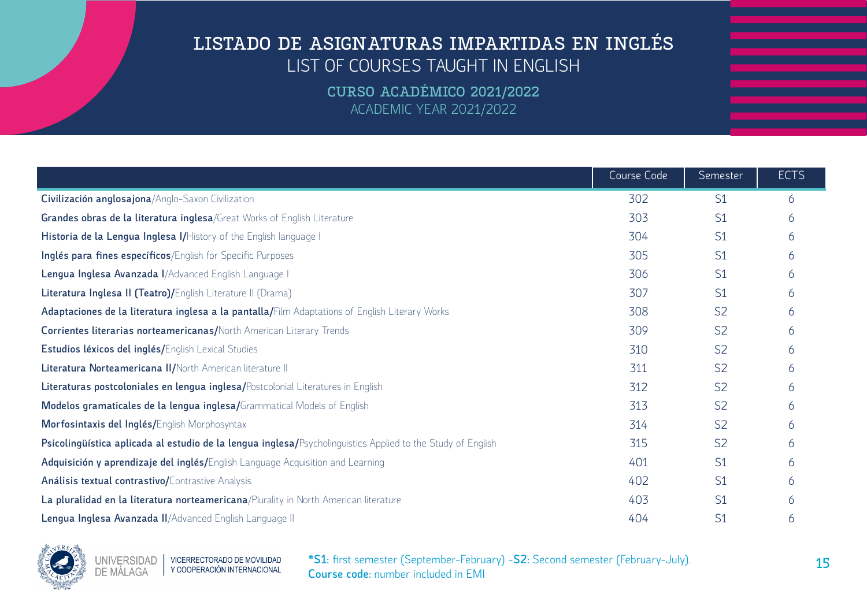**CURSO ACADÉMICO 2021/2022** ACADEMIC YEAR 2021/2022

|                                                                                                             | Course Code | Semester       | <b>ECTS</b> |
|-------------------------------------------------------------------------------------------------------------|-------------|----------------|-------------|
| Civilización anglosajona/Anglo-Saxon Civilization                                                           | 302         | S <sub>1</sub> | 6           |
| Grandes obras de la literatura inglesa/Great Works of English Literature                                    | 303         | S <sub>1</sub> | 6           |
| Historia de la Lengua Inglesa I/History of the English language I                                           | 304         | S <sub>1</sub> | 6           |
| Inglés para fines específicos/English for Specific Purposes                                                 | 305         | S <sub>1</sub> | 6           |
| Lengua Inglesa Avanzada I/Advanced English Language I                                                       | 306         | S <sub>1</sub> | 6           |
| Literatura Inglesa II (Teatro)/English Literature II (Drama)                                                | 307         | S <sub>1</sub> | 6           |
| Adaptaciones de la literatura inglesa a la pantalla/Film Adaptations of English Literary Works              | 308         | S <sub>2</sub> | 6           |
| <b>Corrientes literarias norteamericanas/North American Literary Trends</b>                                 | 309         | S <sub>2</sub> | 6           |
| Estudios léxicos del inglés/English Lexical Studies                                                         | 310         | S <sub>2</sub> | 6           |
| Literatura Norteamericana II/North American literature II                                                   | 311         | S <sub>2</sub> | 6           |
| Literaturas postcoloniales en lengua inglesa/Postcolonial Literatures in English                            | 312         | S <sub>2</sub> | 6           |
| Modelos gramaticales de la lengua inglesa/Grammatical Models of English                                     | 313         | S <sub>2</sub> | 6           |
| Morfosintaxis del Inglés/English Morphosyntax                                                               | 314         | S <sub>2</sub> | 6           |
| Psicolingüística aplicada al estudio de la lengua inglesa/Psycholinguistics Applied to the Study of English | 315         | S <sub>2</sub> | 6           |
| Adquisición y aprendizaje del inglés/English Language Acquisition and Learning                              | 401         | S <sub>1</sub> | 6           |
| Análisis textual contrastivo/Contrastive Analysis                                                           | 402         | S <sub>1</sub> | 6           |
| La pluralidad en la literatura norteamericana/Plurality in North American literature                        | 403         | S <sub>1</sub> | 6           |
| Lengua Inglesa Avanzada II/Advanced English Language II                                                     | 404         | S <sub>1</sub> | 6           |

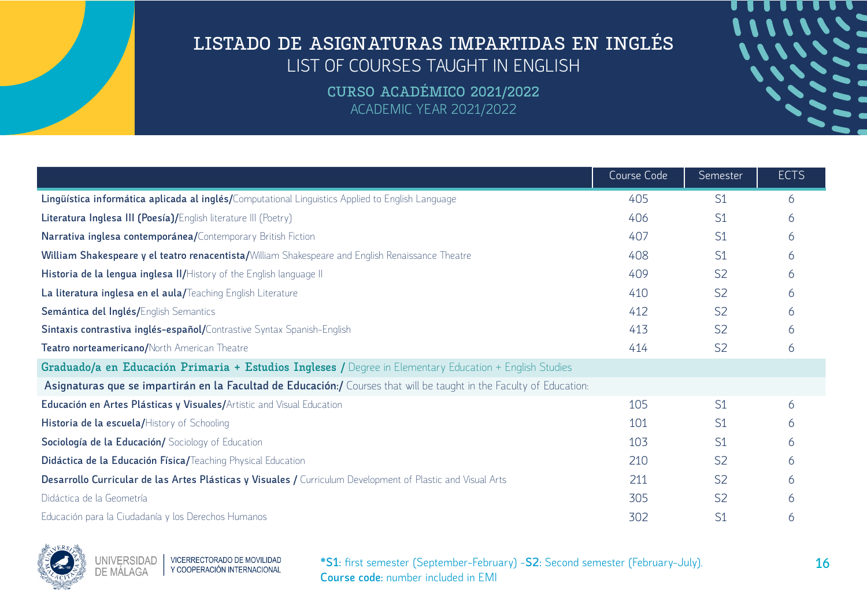**CURSO ACADÉMICO 2021/2022** ACADEMIC YEAR 2021/2022

|                                                                                                                      | Course Code | Semester       | <b>ECTS</b> |
|----------------------------------------------------------------------------------------------------------------------|-------------|----------------|-------------|
| Lingüística informática aplicada al inglés/Computational Linguistics Applied to English Language                     | 405         | S <sub>1</sub> | 6           |
| Literatura Inglesa III (Poesía)/English literature III (Poetry)                                                      | 406         | S <sub>1</sub> | 6           |
| Narrativa inglesa contemporánea/Contemporary British Fiction                                                         | 407         | S <sub>1</sub> | 6           |
| William Shakespeare y el teatro renacentista/William Shakespeare and English Renaissance Theatre                     | 408         | S <sub>1</sub> | 6           |
| Historia de la lengua inglesa II/History of the English language II                                                  | 409         | S <sub>2</sub> | 6           |
| La literatura inglesa en el aula/Teaching English Literature                                                         | 410         | S <sub>2</sub> | 6           |
| Semántica del Inglés/English Semantics                                                                               | 412         | S <sub>2</sub> | 6           |
| Sintaxis contrastiva inglés-español/Contrastive Syntax Spanish-English                                               | 413         | S <sub>2</sub> | h           |
| Teatro norteamericano/North American Theatre                                                                         | 414         | S <sub>2</sub> | 6           |
| Graduado/a en Educación Primaria + Estudios Ingleses / Degree in Elementary Education + English Studies              |             |                |             |
| Asignaturas que se impartirán en la Facultad de Educación:/ Courses that will be taught in the Faculty of Education: |             |                |             |
| Educación en Artes Plásticas y Visuales/Artistic and Visual Education                                                | 105         | S <sub>1</sub> | 6           |
| Historia de la escuela/History of Schooling                                                                          | 101         | S <sub>1</sub> | 6           |
| Sociología de la Educación/ Sociology of Education                                                                   | 103         | S <sub>1</sub> | 6           |
| Didáctica de la Educación Física/Teaching Physical Education                                                         | 210         | S <sub>2</sub> | 6           |
| Desarrollo Curricular de las Artes Plásticas y Visuales / Curriculum Development of Plastic and Visual Arts          | 211         | S <sub>2</sub> | 6           |
| Didáctica de la Geometría                                                                                            | 305         | S <sub>2</sub> | 6           |
| Educación para la Ciudadanía y los Derechos Humanos                                                                  | 302         | S <sub>1</sub> | 6           |



**UNIVERSIDAD** VICERRECTORADO DE MOVILIDAD Y COOPERACIÓN INTERNACIONAL DE MÁI AGA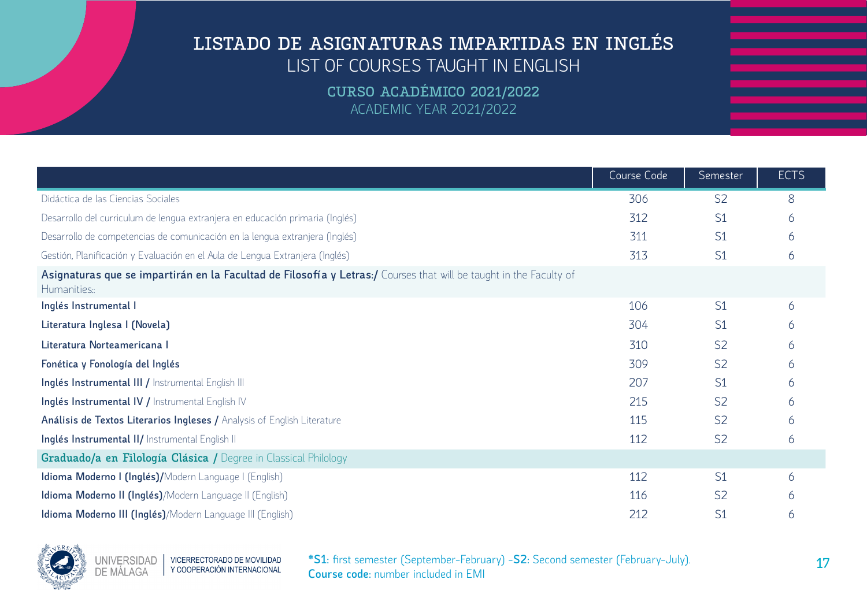**CURSO ACADÉMICO 2021/2022** ACADEMIC YEAR 2021/2022

|                                                                                                                                   | Course Code | Semester       | <b>ECTS</b> |
|-----------------------------------------------------------------------------------------------------------------------------------|-------------|----------------|-------------|
| Didáctica de las Ciencias Sociales                                                                                                | 306         | S <sub>2</sub> | 8           |
| Desarrollo del curriculum de lengua extranjera en educación primaria (Inglés)                                                     | 312         | S1             | 6           |
| Desarrollo de competencias de comunicación en la lengua extranjera (Inglés)                                                       | 311         | S <sub>1</sub> | 6           |
| Gestión, Planificación y Evaluación en el Aula de Lengua Extranjera (Inglés)                                                      | 313         | S1             | 6           |
| Asignaturas que se impartirán en la Facultad de Filosofía y Letras:/ Courses that will be taught in the Faculty of<br>Humanities: |             |                |             |
| Inglés Instrumental I                                                                                                             | 106         | S <sub>1</sub> | 6           |
| Literatura Inglesa I (Novela)                                                                                                     | 304         | S <sub>1</sub> | 6           |
| Literatura Norteamericana I                                                                                                       | 310         | S <sub>2</sub> | 6           |
| Fonética y Fonología del Inglés                                                                                                   | 309         | S <sub>2</sub> | 6           |
| Inglés Instrumental III / Instrumental English III                                                                                | 207         | S1             | 6           |
| Inglés Instrumental IV / Instrumental English IV                                                                                  | 215         | S <sub>2</sub> | 6           |
| Análisis de Textos Literarios Ingleses / Analysis of English Literature                                                           | 115         | S <sub>2</sub> | 6           |
| Inglés Instrumental II/ Instrumental English II                                                                                   | 112         | S <sub>2</sub> | 6           |
| Graduado/a en Filología Clásica / Degree in Classical Philology                                                                   |             |                |             |
| Idioma Moderno I (Inglés)/Modern Language I (English)                                                                             | 112         | S1             | 6           |
| Idioma Moderno II (Inglés)/Modern Language II (English)                                                                           | 116         | S <sub>2</sub> | h           |
| Idioma Moderno III (Inglés)/Modern Language III (English)                                                                         | 212         | S1             | 6           |

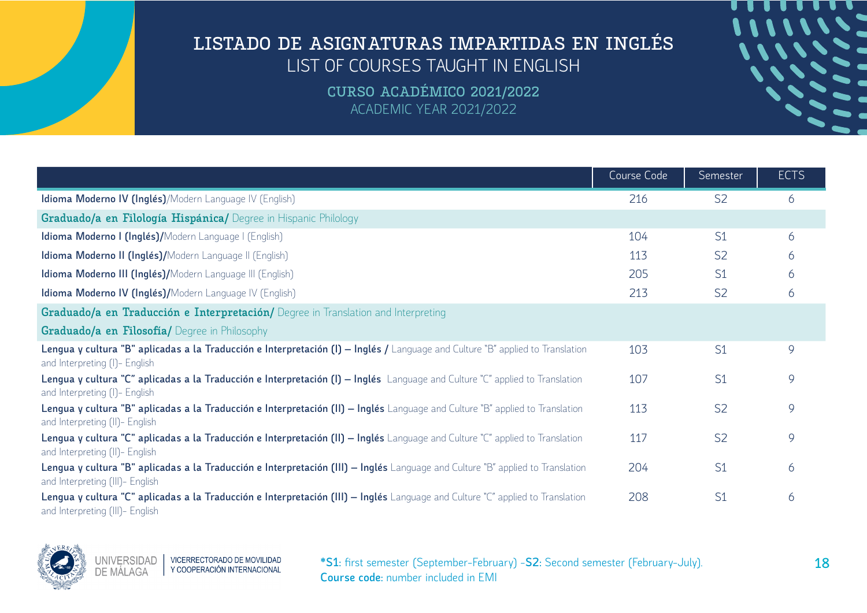**CURSO ACADÉMICO 2021/2022** ACADEMIC YEAR 2021/2022

|                                                                                                                                                                   | Course Code | Semester       | <b>ECTS</b> |
|-------------------------------------------------------------------------------------------------------------------------------------------------------------------|-------------|----------------|-------------|
| Idioma Moderno IV (Inglés)/Modern Language IV (English)                                                                                                           | 216         | S <sub>2</sub> | 6           |
| Graduado/a en Filología Hispánica/ Degree in Hispanic Philology                                                                                                   |             |                |             |
| Idioma Moderno I (Inglés)/Modern Language I (English)                                                                                                             | 104         | S <sub>1</sub> | 6           |
| Idioma Moderno II (Inglés)/Modern Language II (English)                                                                                                           | 113         | S <sub>2</sub> | 6           |
| Idioma Moderno III (Inglés)/Modern Language III (English)                                                                                                         | 205         | S <sub>1</sub> | 6           |
| Idioma Moderno IV (Inglés)/Modern Language IV (English)                                                                                                           | 213         | S <sub>2</sub> | 6           |
| Graduado/a en Traducción e Interpretación/ Degree in Translation and Interpreting                                                                                 |             |                |             |
| Graduado/a en Filosofía/ Degree in Philosophy                                                                                                                     |             |                |             |
| Lengua y cultura "B" aplicadas a la Traducción e Interpretación (I) – Inglés / Language and Culture "B" applied to Translation<br>and Interpreting (I) - English  | 103         | S <sub>1</sub> | 9           |
| Lengua y cultura "C" aplicadas a la Traducción e Interpretación (I) – Inglés Language and Culture "C" applied to Translation<br>and Interpreting (I)- English     | 107         | S <sub>1</sub> | 9           |
| Lengua y cultura "B" aplicadas a la Traducción e Interpretación (II) – Inglés Language and Culture "B" applied to Translation<br>and Interpreting (II)- English   | 113         | S <sub>2</sub> | 9           |
| Lengua y cultura "C" aplicadas a la Traducción e Interpretación (II) – Inglés Language and Culture "C" applied to Translation<br>and Interpreting (II)- English   | 117         | S <sub>2</sub> | 9           |
| Lengua y cultura "B" aplicadas a la Traducción e Interpretación (III) – Inglés Language and Culture "B" applied to Translation<br>and Interpreting (III)- English | 204         | S <sub>1</sub> | 6           |
| Lengua y cultura "C" aplicadas a la Traducción e Interpretación (III) – Inglés Language and Culture "C" applied to Translation<br>and Interpreting (III)- English | 208         | S <sub>1</sub> | 6           |

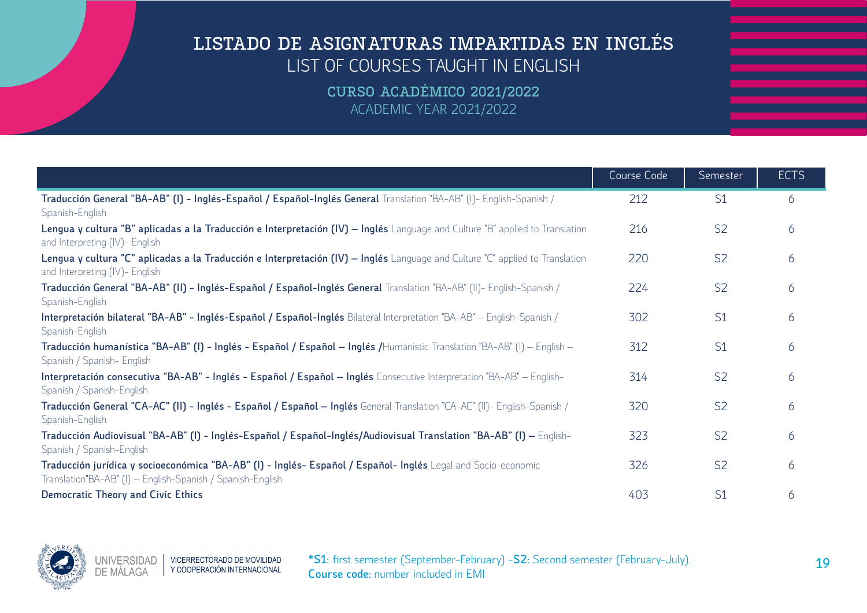|                                                                                                                                                                             | Course Code | Semester       | <b>ECTS</b> |
|-----------------------------------------------------------------------------------------------------------------------------------------------------------------------------|-------------|----------------|-------------|
| Traducción General "BA-AB" (I) - Inglés-Español / Español-Inglés General Translation "BA-AB" (I)- English-Spanish /<br>Spanish-English                                      | 212         | S <sub>1</sub> | 6           |
| Lengua y cultura "B" aplicadas a la Traducción e Interpretación (IV) – Inglés Language and Culture "B" applied to Translation<br>and Interpreting (IV)- English             | 216         | S <sub>2</sub> | 6           |
| Lengua y cultura "C" aplicadas a la Traducción e Interpretación (IV) – Inglés Language and Culture "C" applied to Translation<br>and Interpreting (IV)- English             | 220         | S <sub>2</sub> | 6           |
| Traducción General "BA-AB" (II) - Inglés-Español / Español-Inglés General Translation "BA-AB" (II)- English-Spanish /<br>Spanish-English                                    | 224         | S <sub>2</sub> | 6           |
| Interpretación bilateral "BA-AB" - Inglés-Español / Español-Inglés Bilateral Interpretation "BA-AB" - English-Spanish /<br>Spanish-English                                  | 302         | S <sub>1</sub> | 6           |
| Traducción humanística "BA-AB" (I) - Inglés - Español / Español - Inglés /Humanistic Translation "BA-AB" (I) - English -<br>Spanish / Spanish- English                      | 312         | S <sub>1</sub> | 6           |
| Interpretación consecutiva "BA-AB" - Inglés - Español / Español - Inglés Consecutive Interpretation "BA-AB" - English-<br>Spanish / Spanish-English                         | 314         | S <sub>2</sub> | 6           |
| Traducción General "CA-AC" (II) - Inglés - Español / Español - Inglés General Translation "CA-AC" (II)- English-Spanish /<br>Spanish-English                                | 320         | S <sub>2</sub> | 6           |
| Traducción Audiovisual "BA-AB" (I) - Inglés-Español / Español-Inglés/Audiovisual Translation "BA-AB" (I) – English-<br>Spanish / Spanish-English                            | 323         | S <sub>2</sub> | 6           |
| Traducción jurídica y socioeconómica "BA-AB" (I) - Inglés- Español / Español- Inglés Legal and Socio-economic<br>Translation"BA-AB" (I) - English-Spanish / Spanish-English | 326         | S <sub>2</sub> | 6           |
| <b>Democratic Theory and Civic Ethics</b>                                                                                                                                   | 403         | S1             | 6           |

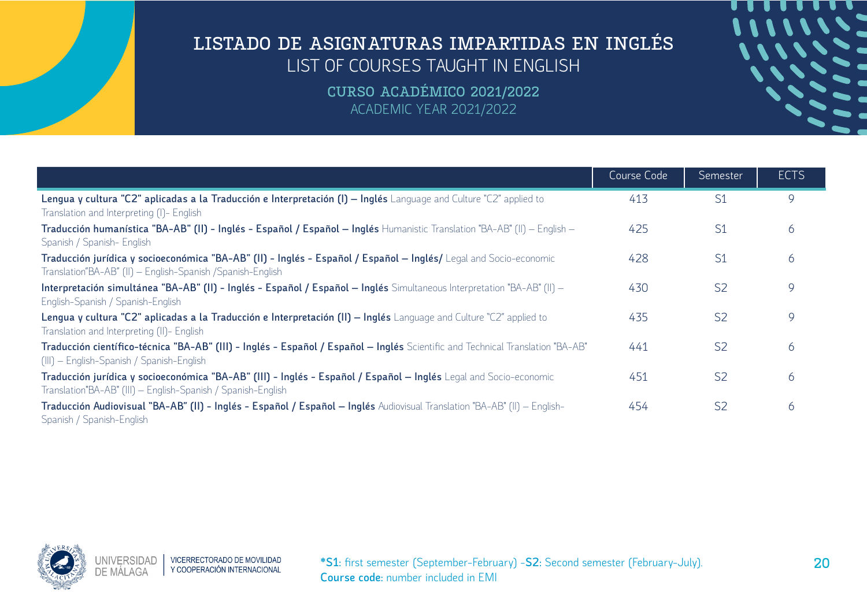| TITTITITI |  |
|-----------|--|
| 1111112   |  |
|           |  |
|           |  |
|           |  |
|           |  |
|           |  |
|           |  |

|                                                                                                                                                                                   | Course Code | Semester       | <b>ECTS</b> |
|-----------------------------------------------------------------------------------------------------------------------------------------------------------------------------------|-------------|----------------|-------------|
| Lengua y cultura "C2" aplicadas a la Traducción e Interpretación (I) – Inglés Language and Culture "C2" applied to<br>Translation and Interpreting (I)- English                   | 413         | S <sub>1</sub> | 9           |
| Traducción humanística "BA-AB" (II) - Inglés - Español / Español - Inglés Humanistic Translation "BA-AB" (II) - English -<br>Spanish / Spanish- English                           | 425         | S <sub>1</sub> | 6           |
| Traducción jurídica y socioeconómica "BA-AB" (II) - Inglés - Español / Español - Inglés/ Legal and Socio-economic<br>Translation"BA-AB" (II) - English-Spanish / Spanish-English  | 428         | S <sub>1</sub> | 6           |
| Interpretación simultánea "BA-AB" (II) - Inglés - Español / Español - Inglés Simultaneous Interpretation "BA-AB" (II) -<br>English-Spanish / Spanish-English                      | 430         | S <sub>2</sub> | 9           |
| Lengua y cultura "C2" aplicadas a la Traducción e Interpretación (II) – Inglés Language and Culture "C2" applied to<br>Translation and Interpreting (II)- English                 | 435         | S <sub>2</sub> | 9           |
| Traducción científico-técnica "BA-AB" (III) - Inglés - Español / Español – Inglés Scientific and Technical Translation "BA-AB"<br>(III) - English-Spanish / Spanish-English       | 441         | S <sub>2</sub> | 6           |
| Traducción jurídica y socioeconómica "BA-AB" (III) - Inglés - Español / Español - Inglés Legal and Socio-economic<br>Translation"BA-AB" (III) - English-Spanish / Spanish-English | 451         | S <sub>2</sub> | 6           |
| Traducción Audiovisual "BA-AB" (II) - Inglés - Español / Español - Inglés Audiovisual Translation "BA-AB" (II) - English-<br>Spanish / Spanish-English                            | 454         | S <sub>2</sub> | 6           |